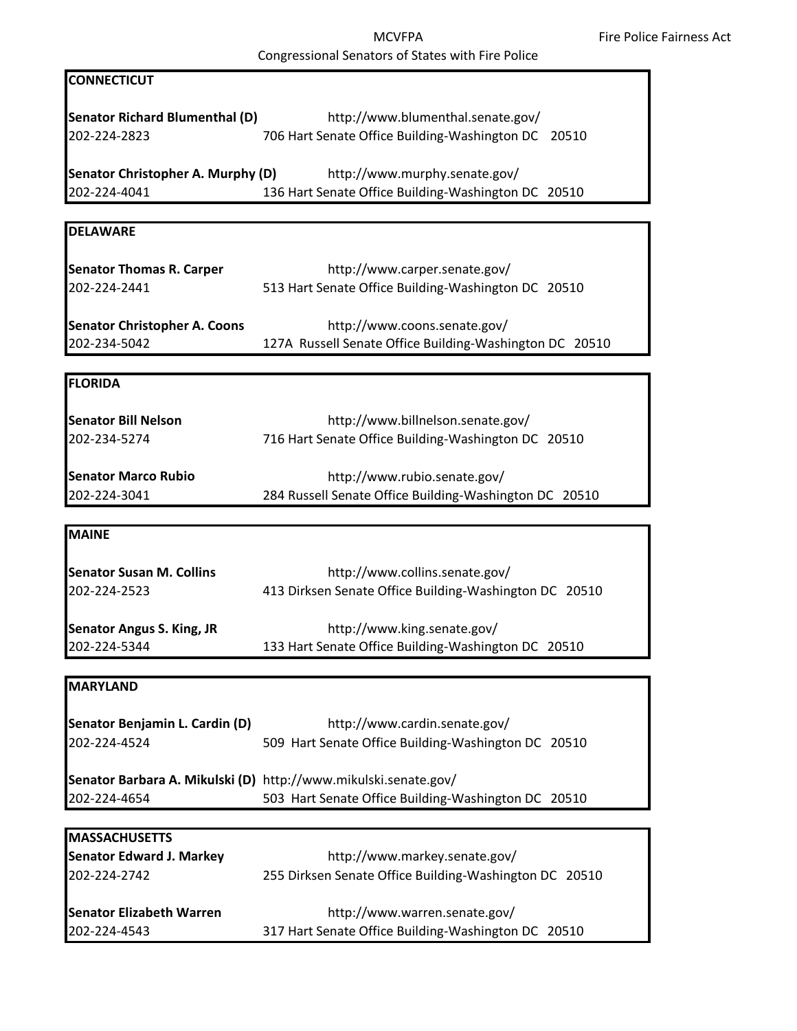| <b>CONNECTICUT</b>                                                      |                                                                                                                        |
|-------------------------------------------------------------------------|------------------------------------------------------------------------------------------------------------------------|
| <b>Senator Richard Blumenthal (D)</b><br>202-224-2823                   | http://www.blumenthal.senate.gov/<br>706 Hart Senate Office Building-Washington DC 20510                               |
| Senator Christopher A. Murphy (D)<br>202-224-4041                       | http://www.murphy.senate.gov/<br>136 Hart Senate Office Building-Washington DC 20510                                   |
|                                                                         |                                                                                                                        |
| <b>DELAWARE</b>                                                         |                                                                                                                        |
| <b>Senator Thomas R. Carper</b><br>202-224-2441                         | http://www.carper.senate.gov/<br>513 Hart Senate Office Building-Washington DC 20510                                   |
| <b>Senator Christopher A. Coons</b><br>202-234-5042                     | http://www.coons.senate.gov/<br>127A Russell Senate Office Building-Washington DC 20510                                |
| <b>FLORIDA</b>                                                          |                                                                                                                        |
| <b>Senator Bill Nelson</b><br>202-234-5274                              | http://www.billnelson.senate.gov/<br>716 Hart Senate Office Building-Washington DC 20510                               |
| <b>Senator Marco Rubio</b><br>202-224-3041                              | http://www.rubio.senate.gov/<br>284 Russell Senate Office Building-Washington DC 20510                                 |
|                                                                         |                                                                                                                        |
| <b>MAINE</b>                                                            |                                                                                                                        |
| <b>Senator Susan M. Collins</b><br>202-224-2523                         | http://www.collins.senate.gov/<br>413 Dirksen Senate Office Building-Washington DC 20510                               |
| <b>Senator Angus S. King, JR</b><br>202-224-5344                        | http://www.king.senate.gov/<br>133 Hart Senate Office Building-Washington DC 20510                                     |
|                                                                         |                                                                                                                        |
| <b>MARYLAND</b>                                                         |                                                                                                                        |
| Senator Benjamin L. Cardin (D)<br>202-224-4524                          | http://www.cardin.senate.gov/<br>509 Hart Senate Office Building-Washington DC 20510                                   |
| 202-224-4654                                                            | Senator Barbara A. Mikulski (D) http://www.mikulski.senate.gov/<br>503 Hart Senate Office Building-Washington DC 20510 |
|                                                                         |                                                                                                                        |
| <b>MASSACHUSETTS</b><br><b>Senator Edward J. Markey</b><br>202-224-2742 | http://www.markey.senate.gov/<br>255 Dirksen Senate Office Building-Washington DC 20510                                |
| <b>Senator Elizabeth Warren</b><br>202-224-4543                         | http://www.warren.senate.gov/<br>317 Hart Senate Office Building-Washington DC 20510                                   |